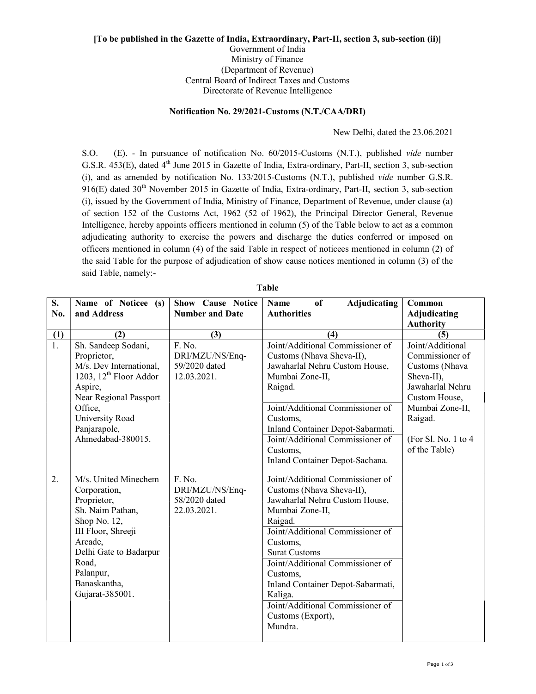## [To be published in the Gazette of India, Extraordinary, Part-II, section 3, sub-section (ii)] Government of India Ministry of Finance (Department of Revenue) Central Board of Indirect Taxes and Customs Directorate of Revenue Intelligence

## Notification No. 29/2021-Customs (N.T./CAA/DRI)

New Delhi, dated the 23.06.2021

S.O. (E). - In pursuance of notification No. 60/2015-Customs (N.T.), published vide number G.S.R. 453(E), dated 4<sup>th</sup> June 2015 in Gazette of India, Extra-ordinary, Part-II, section 3, sub-section (i), and as amended by notification No. 133/2015-Customs (N.T.), published vide number G.S.R. 916(E) dated 30<sup>th</sup> November 2015 in Gazette of India, Extra-ordinary, Part-II, section 3, sub-section (i), issued by the Government of India, Ministry of Finance, Department of Revenue, under clause (a) of section 152 of the Customs Act, 1962 (52 of 1962), the Principal Director General, Revenue Intelligence, hereby appoints officers mentioned in column (5) of the Table below to act as a common adjudicating authority to exercise the powers and discharge the duties conferred or imposed on officers mentioned in column (4) of the said Table in respect of noticees mentioned in column (2) of the said Table for the purpose of adjudication of show cause notices mentioned in column (3) of the said Table, namely:-

| S.               | Name of Noticee (s)                                                                                                                                                                                         | <b>Show Cause Notice</b>                                  | of<br><b>Adjudicating</b><br><b>Name</b>                                                                                                                                                                                                                                                                                                                                  | Common                                                                                                                                 |
|------------------|-------------------------------------------------------------------------------------------------------------------------------------------------------------------------------------------------------------|-----------------------------------------------------------|---------------------------------------------------------------------------------------------------------------------------------------------------------------------------------------------------------------------------------------------------------------------------------------------------------------------------------------------------------------------------|----------------------------------------------------------------------------------------------------------------------------------------|
| No.              | and Address                                                                                                                                                                                                 | <b>Number and Date</b>                                    | <b>Authorities</b>                                                                                                                                                                                                                                                                                                                                                        | Adjudicating                                                                                                                           |
|                  |                                                                                                                                                                                                             |                                                           |                                                                                                                                                                                                                                                                                                                                                                           | <b>Authority</b>                                                                                                                       |
| (1)              | (2)                                                                                                                                                                                                         | (3)                                                       | (4)                                                                                                                                                                                                                                                                                                                                                                       | (5)                                                                                                                                    |
| $\overline{1}$ . | Sh. Sandeep Sodani,<br>Proprietor,<br>M/s. Dev International,<br>1203, 12 <sup>th</sup> Floor Addor<br>Aspire,<br>Near Regional Passport<br>Office,<br>University Road<br>Panjarapole,                      | F. No.<br>DRI/MZU/NS/Enq-<br>59/2020 dated<br>12.03.2021. | Joint/Additional Commissioner of<br>Customs (Nhava Sheva-II),<br>Jawaharlal Nehru Custom House,<br>Mumbai Zone-II,<br>Raigad.<br>Joint/Additional Commissioner of<br>Customs,<br>Inland Container Depot-Sabarmati.                                                                                                                                                        | Joint/Additional<br>Commissioner of<br>Customs (Nhava<br>Sheva-II),<br>Jawaharlal Nehru<br>Custom House,<br>Mumbai Zone-II,<br>Raigad. |
|                  | Ahmedabad-380015.                                                                                                                                                                                           |                                                           | Joint/Additional Commissioner of<br>Customs,<br>Inland Container Depot-Sachana.                                                                                                                                                                                                                                                                                           | (For Sl. No. 1 to 4)<br>of the Table)                                                                                                  |
| 2.               | M/s. United Minechem<br>Corporation,<br>Proprietor,<br>Sh. Naim Pathan,<br>Shop No. 12,<br>III Floor, Shreeji<br>Arcade,<br>Delhi Gate to Badarpur<br>Road,<br>Palanpur,<br>Banaskantha,<br>Gujarat-385001. | F. No.<br>DRI/MZU/NS/Enq-<br>58/2020 dated<br>22.03.2021. | Joint/Additional Commissioner of<br>Customs (Nhava Sheva-II),<br>Jawaharlal Nehru Custom House,<br>Mumbai Zone-II,<br>Raigad.<br>Joint/Additional Commissioner of<br>Customs,<br><b>Surat Customs</b><br>Joint/Additional Commissioner of<br>Customs,<br>Inland Container Depot-Sabarmati,<br>Kaliga.<br>Joint/Additional Commissioner of<br>Customs (Export),<br>Mundra. |                                                                                                                                        |

Table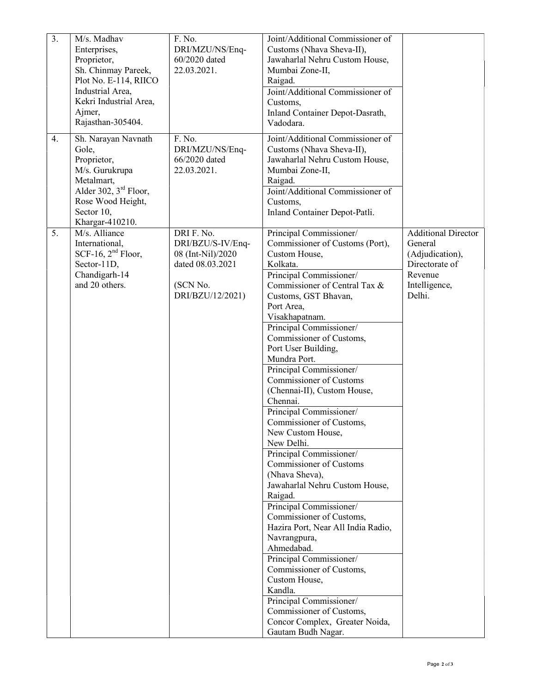| $\overline{3}$ .<br>4. | M/s. Madhav<br>Enterprises,<br>Proprietor,<br>Sh. Chinmay Pareek,<br>Plot No. E-114, RIICO<br>Industrial Area,<br>Kekri Industrial Area,<br>Ajmer,<br>Rajasthan-305404.<br>Sh. Narayan Navnath | F. No.<br>DRI/MZU/NS/Enq-<br>60/2020 dated<br>22.03.2021.<br>F. No.                                      | Joint/Additional Commissioner of<br>Customs (Nhava Sheva-II),<br>Jawaharlal Nehru Custom House,<br>Mumbai Zone-II,<br>Raigad.<br>Joint/Additional Commissioner of<br>Customs,<br>Inland Container Depot-Dasrath,<br>Vadodara.<br>Joint/Additional Commissioner of                                                                                                                                                                                                                                                                                                                                                                                                                                                                                                                                                                                                                                                                                      |                                                                                                                  |
|------------------------|------------------------------------------------------------------------------------------------------------------------------------------------------------------------------------------------|----------------------------------------------------------------------------------------------------------|--------------------------------------------------------------------------------------------------------------------------------------------------------------------------------------------------------------------------------------------------------------------------------------------------------------------------------------------------------------------------------------------------------------------------------------------------------------------------------------------------------------------------------------------------------------------------------------------------------------------------------------------------------------------------------------------------------------------------------------------------------------------------------------------------------------------------------------------------------------------------------------------------------------------------------------------------------|------------------------------------------------------------------------------------------------------------------|
|                        | Gole,<br>Proprietor,<br>M/s. Gurukrupa<br>Metalmart,<br>Alder 302, $3rd$ Floor,<br>Rose Wood Height,<br>Sector 10,<br>Khargar-410210.                                                          | DRI/MZU/NS/Enq-<br>66/2020 dated<br>22.03.2021.                                                          | Customs (Nhava Sheva-II),<br>Jawaharlal Nehru Custom House,<br>Mumbai Zone-II,<br>Raigad.<br>Joint/Additional Commissioner of<br>Customs,<br>Inland Container Depot-Patli.                                                                                                                                                                                                                                                                                                                                                                                                                                                                                                                                                                                                                                                                                                                                                                             |                                                                                                                  |
| 5.                     | M/s. Alliance<br>International,<br>SCF-16, $2nd$ Floor,<br>Sector-11D,<br>Chandigarh-14<br>and 20 others.                                                                                      | DRI F. No.<br>DRI/BZU/S-IV/Enq-<br>08 (Int-Nil)/2020<br>dated 08.03.2021<br>(SCN No.<br>DRI/BZU/12/2021) | Principal Commissioner/<br>Commissioner of Customs (Port),<br>Custom House,<br>Kolkata.<br>Principal Commissioner/<br>Commissioner of Central Tax &<br>Customs, GST Bhavan,<br>Port Area,<br>Visakhapatnam.<br>Principal Commissioner/<br>Commissioner of Customs,<br>Port User Building,<br>Mundra Port.<br>Principal Commissioner/<br>Commissioner of Customs<br>(Chennai-II), Custom House,<br>Chennai.<br>Principal Commissioner/<br>Commissioner of Customs,<br>New Custom House,<br>New Delhi.<br>Principal Commissioner/<br>Commissioner of Customs<br>(Nhava Sheva),<br>Jawaharlal Nehru Custom House,<br>Raigad.<br>Principal Commissioner/<br>Commissioner of Customs,<br>Hazira Port, Near All India Radio,<br>Navrangpura,<br>Ahmedabad.<br>Principal Commissioner/<br>Commissioner of Customs,<br>Custom House,<br>Kandla.<br>Principal Commissioner/<br>Commissioner of Customs,<br>Concor Complex, Greater Noida,<br>Gautam Budh Nagar. | <b>Additional Director</b><br>General<br>(Adjudication),<br>Directorate of<br>Revenue<br>Intelligence,<br>Delhi. |